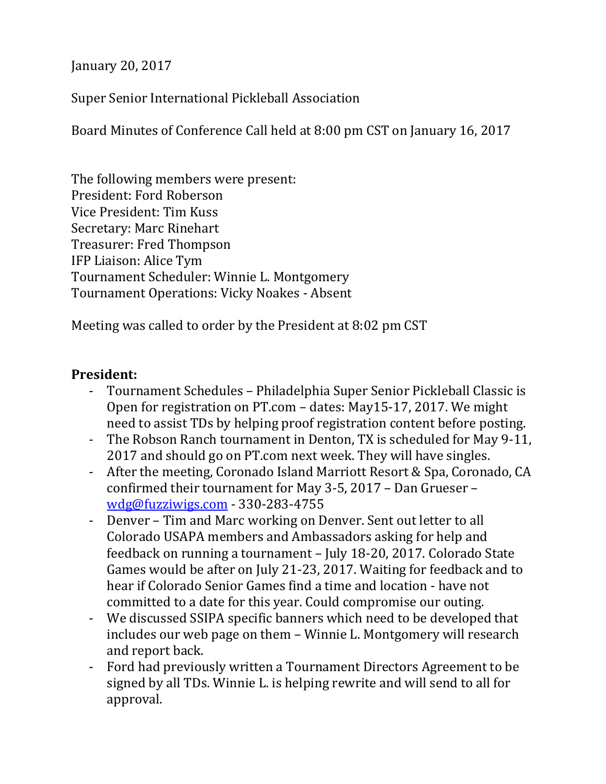January 20, 2017

Super Senior International Pickleball Association

Board Minutes of Conference Call held at 8:00 pm CST on January 16, 2017

The following members were present: President: Ford Roberson Vice President: Tim Kuss Secretary: Marc Rinehart Treasurer: Fred Thompson IFP Liaison: Alice Tym Tournament Scheduler: Winnie L. Montgomery Tournament Operations: Vicky Noakes - Absent

Meeting was called to order by the President at 8:02 pm CST

## **President:**

- Tournament Schedules Philadelphia Super Senior Pickleball Classic is Open for registration on PT.com – dates: May15-17, 2017. We might need to assist TDs by helping proof registration content before posting.
- The Robson Ranch tournament in Denton, TX is scheduled for May 9-11, 2017 and should go on PT.com next week. They will have singles.
- After the meeting, Coronado Island Marriott Resort & Spa, Coronado, CA confirmed their tournament for May 3-5, 2017 – Dan Grueser – [wdg@fuzziwigs.com](mailto:wdg@fuzziwigs.com) - 330-283-4755
- Denver Tim and Marc working on Denver. Sent out letter to all Colorado USAPA members and Ambassadors asking for help and feedback on running a tournament – July 18-20, 2017. Colorado State Games would be after on July 21-23, 2017. Waiting for feedback and to hear if Colorado Senior Games find a time and location - have not committed to a date for this year. Could compromise our outing.
- We discussed SSIPA specific banners which need to be developed that includes our web page on them – Winnie L. Montgomery will research and report back.
- Ford had previously written a Tournament Directors Agreement to be signed by all TDs. Winnie L. is helping rewrite and will send to all for approval.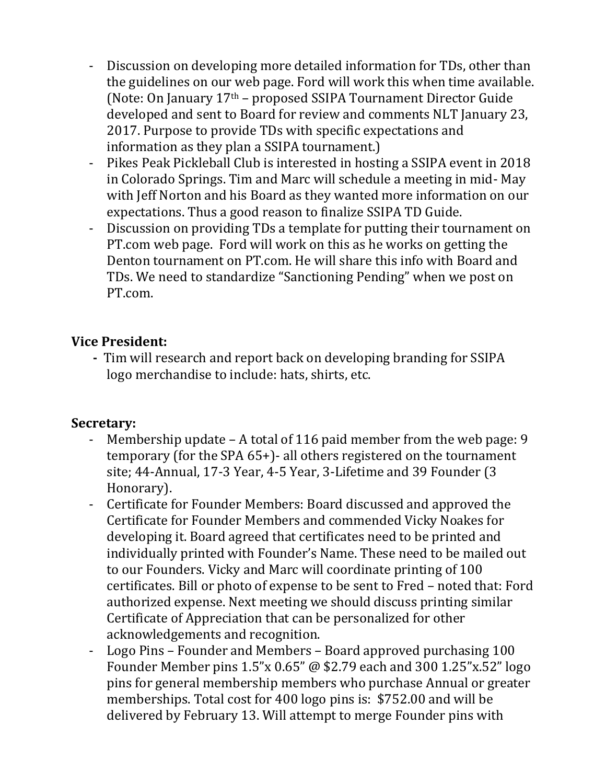- Discussion on developing more detailed information for TDs, other than the guidelines on our web page. Ford will work this when time available. (Note: On January  $17<sup>th</sup>$  – proposed SSIPA Tournament Director Guide developed and sent to Board for review and comments NLT January 23, 2017. Purpose to provide TDs with specific expectations and information as they plan a SSIPA tournament.)
- Pikes Peak Pickleball Club is interested in hosting a SSIPA event in 2018 in Colorado Springs. Tim and Marc will schedule a meeting in mid- May with Jeff Norton and his Board as they wanted more information on our expectations. Thus a good reason to finalize SSIPA TD Guide.
- Discussion on providing TDs a template for putting their tournament on PT.com web page. Ford will work on this as he works on getting the Denton tournament on PT.com. He will share this info with Board and TDs. We need to standardize "Sanctioning Pending" when we post on PT.com.

## **Vice President:**

 **-** Tim will research and report back on developing branding for SSIPA logo merchandise to include: hats, shirts, etc.

# **Secretary:**

- Membership update A total of 116 paid member from the web page: 9 temporary (for the SPA 65+)- all others registered on the tournament site; 44-Annual, 17-3 Year, 4-5 Year, 3-Lifetime and 39 Founder (3 Honorary).
- Certificate for Founder Members: Board discussed and approved the Certificate for Founder Members and commended Vicky Noakes for developing it. Board agreed that certificates need to be printed and individually printed with Founder's Name. These need to be mailed out to our Founders. Vicky and Marc will coordinate printing of 100 certificates. Bill or photo of expense to be sent to Fred – noted that: Ford authorized expense. Next meeting we should discuss printing similar Certificate of Appreciation that can be personalized for other acknowledgements and recognition.
- Logo Pins Founder and Members Board approved purchasing 100 Founder Member pins 1.5"x 0.65" @ \$2.79 each and 300 1.25"x.52" logo pins for general membership members who purchase Annual or greater memberships. Total cost for 400 logo pins is: \$752.00 and will be delivered by February 13. Will attempt to merge Founder pins with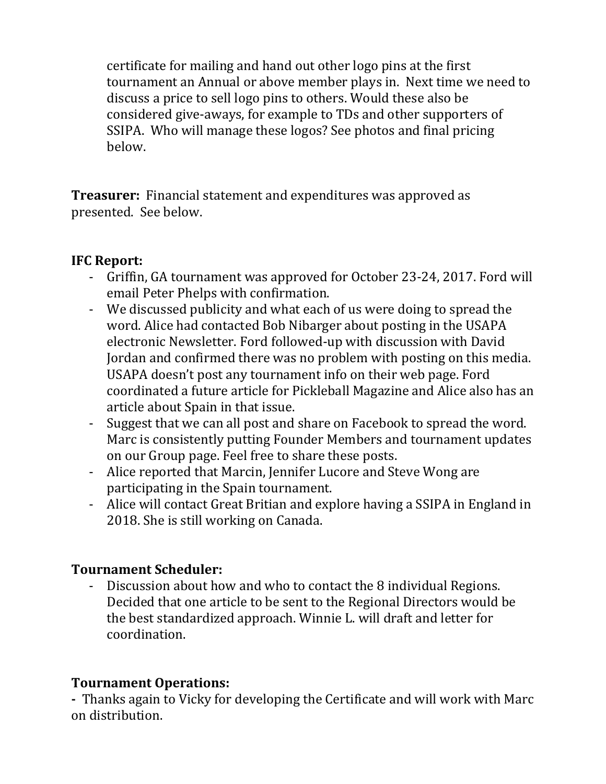certificate for mailing and hand out other logo pins at the first tournament an Annual or above member plays in. Next time we need to discuss a price to sell logo pins to others. Would these also be considered give-aways, for example to TDs and other supporters of SSIPA. Who will manage these logos? See photos and final pricing below.

**Treasurer:** Financial statement and expenditures was approved as presented. See below.

# **IFC Report:**

- Griffin, GA tournament was approved for October 23-24, 2017. Ford will email Peter Phelps with confirmation.
- We discussed publicity and what each of us were doing to spread the word. Alice had contacted Bob Nibarger about posting in the USAPA electronic Newsletter. Ford followed-up with discussion with David Jordan and confirmed there was no problem with posting on this media. USAPA doesn't post any tournament info on their web page. Ford coordinated a future article for Pickleball Magazine and Alice also has an article about Spain in that issue.
- Suggest that we can all post and share on Facebook to spread the word. Marc is consistently putting Founder Members and tournament updates on our Group page. Feel free to share these posts.
- Alice reported that Marcin, Jennifer Lucore and Steve Wong are participating in the Spain tournament.
- Alice will contact Great Britian and explore having a SSIPA in England in 2018. She is still working on Canada.

# **Tournament Scheduler:**

Discussion about how and who to contact the 8 individual Regions. Decided that one article to be sent to the Regional Directors would be the best standardized approach. Winnie L. will draft and letter for coordination.

# **Tournament Operations:**

**-** Thanks again to Vicky for developing the Certificate and will work with Marc on distribution.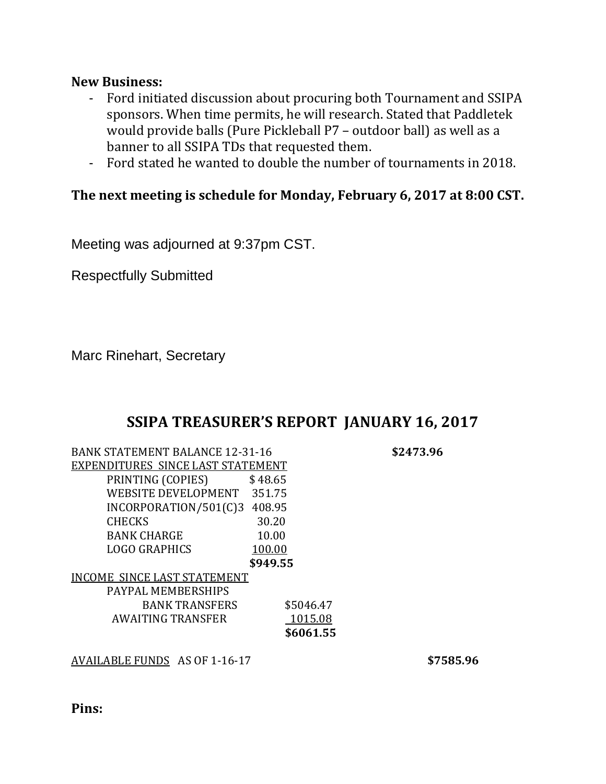#### **New Business:**

- Ford initiated discussion about procuring both Tournament and SSIPA sponsors. When time permits, he will research. Stated that Paddletek would provide balls (Pure Pickleball P7 – outdoor ball) as well as a banner to all SSIPA TDs that requested them.
- Ford stated he wanted to double the number of tournaments in 2018.

### **The next meeting is schedule for Monday, February 6, 2017 at 8:00 CST.**

Meeting was adjourned at 9:37pm CST.

Respectfully Submitted

Marc Rinehart, Secretary

# **SSIPA TREASURER'S REPORT JANUARY 16, 2017**

| <b>BANK STATEMENT BALANCE 12-31-16</b> |           |
|----------------------------------------|-----------|
| EXPENDITURES SINCE LAST STATEMENT      |           |
| PRINTING (COPIES)                      | \$48.65   |
| <b>WEBSITE DEVELOPMENT</b>             | 351.75    |
| INCORPORATION/501(C)3                  | 408.95    |
| <b>CHECKS</b>                          | 30.20     |
| <b>BANK CHARGE</b>                     | 10.00     |
| LOGO GRAPHICS                          | 100.00    |
|                                        | \$949.55  |
| <b>INCOME SINCE LAST STATEMENT</b>     |           |
| PAYPAL MEMBERSHIPS                     |           |
| <b>BANK TRANSFERS</b>                  | \$5046.47 |
| AWAITING TRANSFER                      | 1015.08   |
|                                        | \$6061.55 |
|                                        |           |

AVAILABLE FUNDS AS OF 1-16-17 **\$7585.96**

 $$2473.96$ 

**Pins:**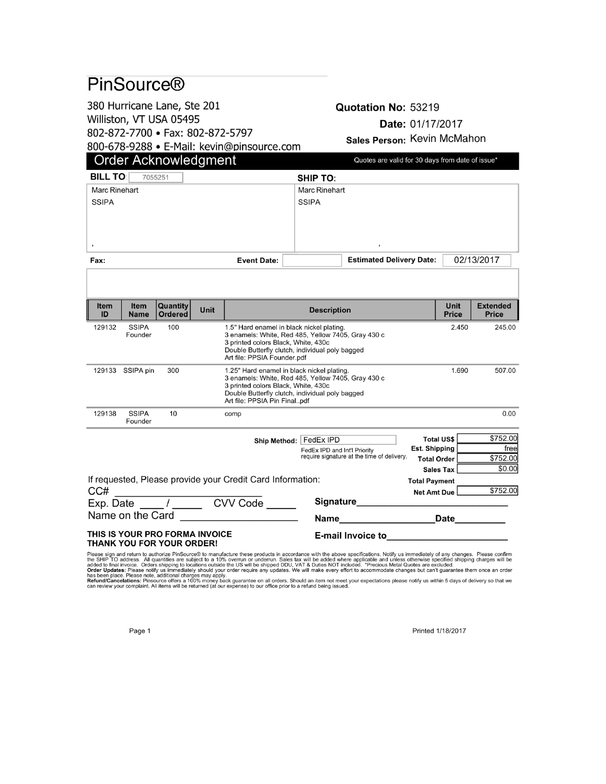# PinSource®

380 Hurricane Lane, Ste 201 Williston, VT USA 05495

802-872-7700 · Fax: 802-872-5797

800-678-9288 · E-Mail: kevin@pinsource.com

#### Quotation No: 53219 Date: 01/17/2017 Sales Person: Kevin McMahon

| <b>Order Acknowledgment</b>                                                                                                                                                  |                                                                                |                            |      |                                                                                |                       | Quotes are valid for 30 days from date of issue*                           |                                 |                      |                                        |                                 |  |
|------------------------------------------------------------------------------------------------------------------------------------------------------------------------------|--------------------------------------------------------------------------------|----------------------------|------|--------------------------------------------------------------------------------|-----------------------|----------------------------------------------------------------------------|---------------------------------|----------------------|----------------------------------------|---------------------------------|--|
| <b>BILL TO:</b>                                                                                                                                                              |                                                                                | 7055251                    |      |                                                                                |                       | <b>SHIP TO:</b>                                                            |                                 |                      |                                        |                                 |  |
| <b>Marc Rinehart</b>                                                                                                                                                         |                                                                                |                            |      |                                                                                |                       | <b>Marc Rinehart</b>                                                       |                                 |                      |                                        |                                 |  |
| <b>SSIPA</b>                                                                                                                                                                 |                                                                                |                            |      |                                                                                |                       | <b>SSIPA</b>                                                               |                                 |                      |                                        |                                 |  |
|                                                                                                                                                                              |                                                                                |                            |      |                                                                                |                       |                                                                            |                                 |                      |                                        |                                 |  |
|                                                                                                                                                                              |                                                                                |                            |      |                                                                                |                       |                                                                            |                                 |                      |                                        |                                 |  |
|                                                                                                                                                                              |                                                                                |                            |      |                                                                                |                       |                                                                            |                                 |                      |                                        |                                 |  |
| <b>Event Date:</b><br><b>Fax:</b>                                                                                                                                            |                                                                                |                            |      |                                                                                |                       |                                                                            | <b>Estimated Delivery Date:</b> |                      | 02/13/2017                             |                                 |  |
|                                                                                                                                                                              |                                                                                |                            |      |                                                                                |                       |                                                                            |                                 |                      |                                        |                                 |  |
|                                                                                                                                                                              |                                                                                |                            |      |                                                                                |                       |                                                                            |                                 |                      |                                        |                                 |  |
| <b>Item</b><br>ID                                                                                                                                                            | Item<br><b>Name</b>                                                            | Quantity<br><b>Ordered</b> | Unit | <b>Description</b>                                                             |                       |                                                                            |                                 |                      | Unit<br><b>Price</b>                   | <b>Extended</b><br><b>Price</b> |  |
| 129132                                                                                                                                                                       | <b>SSIPA</b><br>Founder                                                        | 100                        |      | 1.5" Hard enamel in black nickel plating.<br>2.450                             |                       |                                                                            |                                 |                      |                                        | 245.00                          |  |
| 3 enamels: White, Red 485, Yellow 7405, Gray 430 c<br>3 printed colors Black, White, 430c                                                                                    |                                                                                |                            |      |                                                                                |                       |                                                                            |                                 |                      |                                        |                                 |  |
|                                                                                                                                                                              |                                                                                |                            |      | Double Butterfly clutch, individual poly bagged<br>Art file: PPSIA Founder.pdf |                       |                                                                            |                                 |                      |                                        |                                 |  |
|                                                                                                                                                                              | 300<br>1.25" Hard enamel in black nickel plating.<br>1.690<br>129133 SSIPA pin |                            |      |                                                                                |                       |                                                                            |                                 | 507.00               |                                        |                                 |  |
| 3 enamels: White, Red 485, Yellow 7405, Gray 430 c<br>3 printed colors Black, White, 430c<br>Double Butterfly clutch, individual poly bagged<br>Art file: PPSIA Pin Finalpdf |                                                                                |                            |      |                                                                                |                       |                                                                            |                                 |                      |                                        |                                 |  |
|                                                                                                                                                                              |                                                                                |                            |      |                                                                                |                       |                                                                            |                                 |                      |                                        |                                 |  |
| 129138                                                                                                                                                                       | <b>SSIPA</b>                                                                   | 10                         |      | comp                                                                           |                       |                                                                            |                                 |                      |                                        | 0.00                            |  |
|                                                                                                                                                                              | Founder                                                                        |                            |      |                                                                                |                       |                                                                            |                                 |                      |                                        |                                 |  |
|                                                                                                                                                                              |                                                                                |                            |      |                                                                                |                       | Ship Method:   FedEx IPD                                                   |                                 |                      | <b>Total US\$</b>                      | \$752.00                        |  |
|                                                                                                                                                                              |                                                                                |                            |      |                                                                                |                       | FedEx IPD and Int'l Priority<br>require signature at the time of delivery. |                                 | <b>Est. Shipping</b> |                                        | freel<br>\$752.00               |  |
|                                                                                                                                                                              |                                                                                |                            |      |                                                                                |                       |                                                                            |                                 |                      | <b>Total Order</b><br><b>Sales Tax</b> |                                 |  |
| If requested, Please provide your Credit Card Information:                                                                                                                   |                                                                                |                            |      |                                                                                |                       | <b>Total Payment</b>                                                       |                                 | \$0.00               |                                        |                                 |  |
| CC#                                                                                                                                                                          |                                                                                |                            |      |                                                                                |                       |                                                                            | Net Amt Due                     |                      | \$752.00                               |                                 |  |
|                                                                                                                                                                              |                                                                                |                            |      | Exp. Date _____ / ________ CVV Code ____                                       |                       |                                                                            | Signature__________             |                      |                                        |                                 |  |
| Name on the Card                                                                                                                                                             |                                                                                |                            |      |                                                                                | Name <b>Name Name</b> |                                                                            | <b>Date</b>                     |                      |                                        |                                 |  |
| THIS IS YOUR PRO FORMA INVOICE<br><b>E-mail Invoice to</b><br><b>THANK YOU FOR YOUR ORDER!</b>                                                                               |                                                                                |                            |      |                                                                                |                       |                                                                            |                                 |                      |                                        |                                 |  |

Please sign and return to authorize PinSource® to manufacture these products in accordance with the above specifications. Notify us immediately of any changes. Please confirm<br>the SHIP TO address. All quantities are subject

Printed 1/18/2017